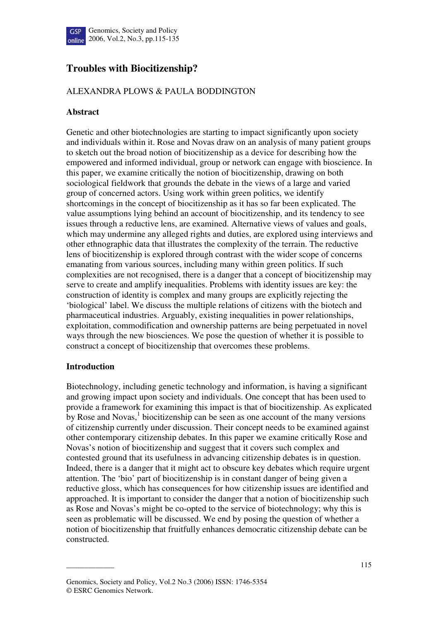

# Troubles with Biocitizenship?

## ALEXANDRA PLOWS & PAULA BODDINGTON

#### Abstract

Genetic and other biotechnologies are starting to impact significantly upon society and individuals within it. Rose and Novas draw on an analysis of many patient groups to sketch out the broad notion of biocitizenship as a device for describing how the empowered and informed individual, group or network can engage with bioscience. In this paper, we examine critically the notion of biocitizenship, drawing on both sociological fieldwork that grounds the debate in the views of a large and varied group of concerned actors. Using work within green politics, we identify shortcomings in the concept of biocitizenship as it has so far been explicated. The value assumptions lying behind an account of biocitizenship, and its tendency to see issues through a reductive lens, are examined. Alternative views of values and goals, which may undermine any alleged rights and duties, are explored using interviews and other ethnographic data that illustrates the complexity of the terrain. The reductive lens of biocitizenship is explored through contrast with the wider scope of concerns emanating from various sources, including many within green politics. If such complexities are not recognised, there is a danger that a concept of biocitizenship may serve to create and amplify inequalities. Problems with identity issues are key: the construction of identity is complex and many groups are explicitly rejecting the 'biological' label. We discuss the multiple relations of citizens with the biotech and pharmaceutical industries. Arguably, existing inequalities in power relationships, exploitation, commodification and ownership patterns are being perpetuated in novel ways through the new biosciences. We pose the question of whether it is possible to construct a concept of biocitizenship that overcomes these problems.

#### Introduction

Biotechnology, including genetic technology and information, is having a significant and growing impact upon society and individuals. One concept that has been used to provide a framework for examining this impact is that of biocitizenship. As explicated by Rose and Novas, $<sup>1</sup>$  biocitizenship can be seen as one account of the many versions</sup> of citizenship currently under discussion. Their concept needs to be examined against other contemporary citizenship debates. In this paper we examine critically Rose and Novas's notion of biocitizenship and suggest that it covers such complex and contested ground that its usefulness in advancing citizenship debates is in question. Indeed, there is a danger that it might act to obscure key debates which require urgent attention. The 'bio' part of biocitizenship is in constant danger of being given a reductive gloss, which has consequences for how citizenship issues are identified and approached. It is important to consider the danger that a notion of biocitizenship such as Rose and Novas's might be co-opted to the service of biotechnology; why this is seen as problematic will be discussed. We end by posing the question of whether a notion of biocitizenship that fruitfully enhances democratic citizenship debate can be constructed.

Genomics, Society and Policy, Vol.2 No.3 (2006) ISSN: 1746-5354 © ESRC Genomics Network.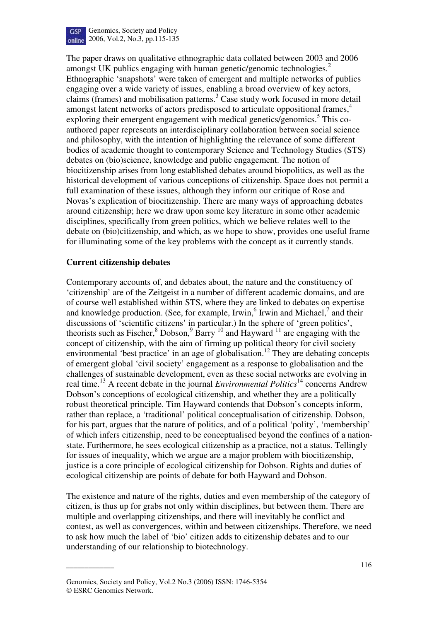

The paper draws on qualitative ethnographic data collated between 2003 and 2006 amongst UK publics engaging with human genetic/genomic technologies.<sup>2</sup> Ethnographic 'snapshots' were taken of emergent and multiple networks of publics engaging over a wide variety of issues, enabling a broad overview of key actors, claims (frames) and mobilisation patterns.<sup>3</sup> Case study work focused in more detail amongst latent networks of actors predisposed to articulate oppositional frames,<sup>4</sup> exploring their emergent engagement with medical genetics/genomics.<sup>5</sup> This coauthored paper represents an interdisciplinary collaboration between social science and philosophy, with the intention of highlighting the relevance of some different bodies of academic thought to contemporary Science and Technology Studies (STS) debates on (bio)science, knowledge and public engagement. The notion of biocitizenship arises from long established debates around biopolitics, as well as the historical development of various conceptions of citizenship. Space does not permit a full examination of these issues, although they inform our critique of Rose and Novas's explication of biocitizenship. There are many ways of approaching debates around citizenship; here we draw upon some key literature in some other academic disciplines, specifically from green politics, which we believe relates well to the debate on (bio)citizenship, and which, as we hope to show, provides one useful frame for illuminating some of the key problems with the concept as it currently stands.

#### Current citizenship debates

Contemporary accounts of, and debates about, the nature and the constituency of 'citizenship' are of the Zeitgeist in a number of different academic domains, and are of course well established within STS, where they are linked to debates on expertise and knowledge production. (See, for example, Irwin,  $6$  Irwin and Michael, $7$  and their discussions of 'scientific citizens' in particular.) In the sphere of 'green politics', theorists such as Fischer,  $8Dobson, 9Barrow, 10$  and Hayward  $11$  are engaging with the concept of citizenship, with the aim of firming up political theory for civil society environmental 'best practice' in an age of globalisation.<sup>12</sup> They are debating concepts of emergent global 'civil society' engagement as a response to globalisation and the challenges of sustainable development, even as these social networks are evolving in real time.<sup>13</sup> A recent debate in the journal *Environmental Politics*<sup>14</sup> concerns Andrew Dobson's conceptions of ecological citizenship, and whether they are a politically robust theoretical principle. Tim Hayward contends that Dobson's concepts inform, rather than replace, a 'traditional' political conceptualisation of citizenship. Dobson, for his part, argues that the nature of politics, and of a political 'polity', 'membership' of which infers citizenship, need to be conceptualised beyond the confines of a nationstate. Furthermore, he sees ecological citizenship as a practice, not a status. Tellingly for issues of inequality, which we argue are a major problem with biocitizenship, justice is a core principle of ecological citizenship for Dobson. Rights and duties of ecological citizenship are points of debate for both Hayward and Dobson.

The existence and nature of the rights, duties and even membership of the category of citizen, is thus up for grabs not only within disciplines, but between them. There are multiple and overlapping citizenships, and there will inevitably be conflict and contest, as well as convergences, within and between citizenships. Therefore, we need to ask how much the label of 'bio' citizen adds to citizenship debates and to our understanding of our relationship to biotechnology.

Genomics, Society and Policy, Vol.2 No.3 (2006) ISSN: 1746-5354 © ESRC Genomics Network.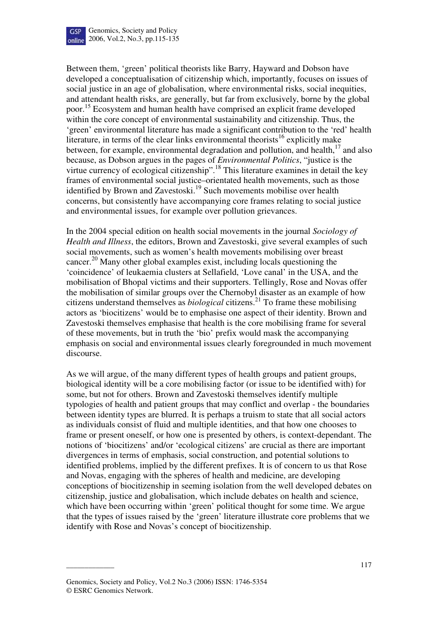

Between them, 'green' political theorists like Barry, Hayward and Dobson have developed a conceptualisation of citizenship which, importantly, focuses on issues of social justice in an age of globalisation, where environmental risks, social inequities, and attendant health risks, are generally, but far from exclusively, borne by the global poor.<sup>15</sup> Ecosystem and human health have comprised an explicit frame developed within the core concept of environmental sustainability and citizenship. Thus, the 'green' environmental literature has made a significant contribution to the 'red' health literature, in terms of the clear links environmental theorists<sup>16</sup> explicitly make between, for example, environmental degradation and pollution, and health, $^{17}$  and also because, as Dobson argues in the pages of Environmental Politics, "justice is the virtue currency of ecological citizenship".<sup>18</sup> This literature examines in detail the key frames of environmental social justice–orientated health movements, such as those identified by Brown and Zavestoski.<sup>19</sup> Such movements mobilise over health concerns, but consistently have accompanying core frames relating to social justice and environmental issues, for example over pollution grievances.

In the 2004 special edition on health social movements in the journal Sociology of Health and Illness, the editors, Brown and Zavestoski, give several examples of such social movements, such as women's health movements mobilising over breast cancer. <sup>20</sup> Many other global examples exist, including locals questioning the 'coincidence' of leukaemia clusters at Sellafield, 'Love canal' in the USA, and the mobilisation of Bhopal victims and their supporters. Tellingly, Rose and Novas offer the mobilisation of similar groups over the Chernobyl disaster as an example of how citizens understand themselves as *biological* citizens.<sup>21</sup> To frame these mobilising actors as 'biocitizens' would be to emphasise one aspect of their identity. Brown and Zavestoski themselves emphasise that health is the core mobilising frame for several of these movements, but in truth the 'bio' prefix would mask the accompanying emphasis on social and environmental issues clearly foregrounded in much movement discourse.

As we will argue, of the many different types of health groups and patient groups, biological identity will be a core mobilising factor (or issue to be identified with) for some, but not for others. Brown and Zavestoski themselves identify multiple typologies of health and patient groups that may conflict and overlap - the boundaries between identity types are blurred. It is perhaps a truism to state that all social actors as individuals consist of fluid and multiple identities, and that how one chooses to frame or present oneself, or how one is presented by others, is context-dependant. The notions of 'biocitizens' and/or 'ecological citizens' are crucial as there are important divergences in terms of emphasis, social construction, and potential solutions to identified problems, implied by the different prefixes. It is of concern to us that Rose and Novas, engaging with the spheres of health and medicine, are developing conceptions of biocitizenship in seeming isolation from the well developed debates on citizenship, justice and globalisation, which include debates on health and science, which have been occurring within 'green' political thought for some time. We argue that the types of issues raised by the 'green' literature illustrate core problems that we identify with Rose and Novas's concept of biocitizenship.

Genomics, Society and Policy, Vol.2 No.3 (2006) ISSN: 1746-5354 © ESRC Genomics Network.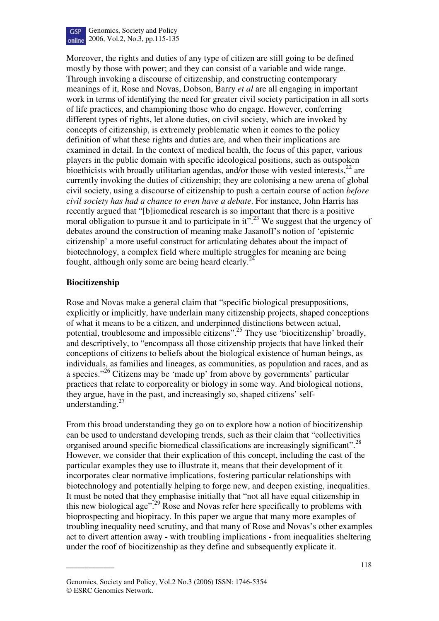

Moreover, the rights and duties of any type of citizen are still going to be defined mostly by those with power; and they can consist of a variable and wide range. Through invoking a discourse of citizenship, and constructing contemporary meanings of it, Rose and Novas, Dobson, Barry *et al* are all engaging in important work in terms of identifying the need for greater civil society participation in all sorts of life practices, and championing those who do engage. However, conferring different types of rights, let alone duties, on civil society, which are invoked by concepts of citizenship, is extremely problematic when it comes to the policy definition of what these rights and duties are, and when their implications are examined in detail. In the context of medical health, the focus of this paper, various players in the public domain with specific ideological positions, such as outspoken bioethicists with broadly utilitarian agendas, and/or those with vested interests, $22$  are currently invoking the duties of citizenship; they are colonising a new arena of global civil society, using a discourse of citizenship to push a certain course of action before civil society has had a chance to even have a debate. For instance, John Harris has recently argued that "[b]iomedical research is so important that there is a positive moral obligation to pursue it and to participate in  $it^2$ .<sup>23</sup> We suggest that the urgency of debates around the construction of meaning make Jasanoff's notion of 'epistemic citizenship' a more useful construct for articulating debates about the impact of biotechnology, a complex field where multiple struggles for meaning are being fought, although only some are being heard clearly.<sup>2</sup>

#### Biocitizenship

Rose and Novas make a general claim that "specific biological presuppositions, explicitly or implicitly, have underlain many citizenship projects, shaped conceptions of what it means to be a citizen, and underpinned distinctions between actual, potential, troublesome and impossible citizens".<sup>25</sup> They use 'biocitizenship' broadly, and descriptively, to "encompass all those citizenship projects that have linked their conceptions of citizens to beliefs about the biological existence of human beings, as individuals, as families and lineages, as communities, as population and races, and as a species."<sup>26</sup> Citizens may be 'made up' from above by governments' particular practices that relate to corporeality or biology in some way. And biological notions, they argue, have in the past, and increasingly so, shaped citizens' selfunderstanding. $27$ 

From this broad understanding they go on to explore how a notion of biocitizenship can be used to understand developing trends, such as their claim that "collectivities organised around specific biomedical classifications are increasingly significant".<sup>28</sup> However, we consider that their explication of this concept, including the cast of the particular examples they use to illustrate it, means that their development of it incorporates clear normative implications, fostering particular relationships with biotechnology and potentially helping to forge new, and deepen existing, inequalities. It must be noted that they emphasise initially that "not all have equal citizenship in this new biological age".<sup>29</sup> Rose and Novas refer here specifically to problems with bioprospecting and biopiracy. In this paper we argue that many more examples of troubling inequality need scrutiny, and that many of Rose and Novas's other examples act to divert attention away - with troubling implications - from inequalities sheltering under the roof of biocitizenship as they define and subsequently explicate it.

Genomics, Society and Policy, Vol.2 No.3 (2006) ISSN: 1746-5354 © ESRC Genomics Network.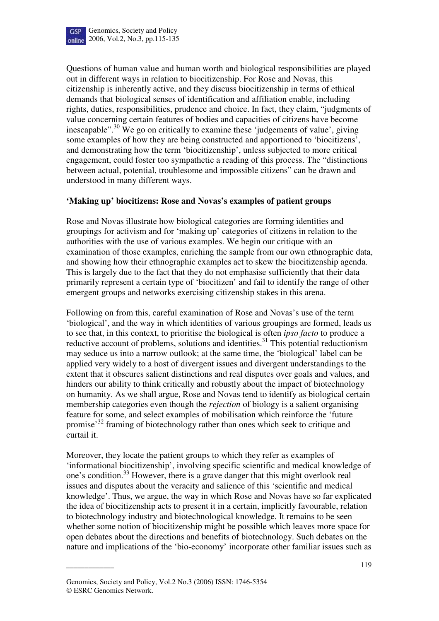

Questions of human value and human worth and biological responsibilities are played out in different ways in relation to biocitizenship. For Rose and Novas, this citizenship is inherently active, and they discuss biocitizenship in terms of ethical demands that biological senses of identification and affiliation enable, including rights, duties, responsibilities, prudence and choice. In fact, they claim, "judgments of value concerning certain features of bodies and capacities of citizens have become inescapable".<sup>30</sup> We go on critically to examine these 'judgements of value', giving some examples of how they are being constructed and apportioned to 'biocitizens', and demonstrating how the term 'biocitizenship', unless subjected to more critical engagement, could foster too sympathetic a reading of this process. The "distinctions between actual, potential, troublesome and impossible citizens" can be drawn and understood in many different ways.

#### 'Making up' biocitizens: Rose and Novas's examples of patient groups

Rose and Novas illustrate how biological categories are forming identities and groupings for activism and for 'making up' categories of citizens in relation to the authorities with the use of various examples. We begin our critique with an examination of those examples, enriching the sample from our own ethnographic data, and showing how their ethnographic examples act to skew the biocitizenship agenda. This is largely due to the fact that they do not emphasise sufficiently that their data primarily represent a certain type of 'biocitizen' and fail to identify the range of other emergent groups and networks exercising citizenship stakes in this arena.

Following on from this, careful examination of Rose and Novas's use of the term 'biological', and the way in which identities of various groupings are formed, leads us to see that, in this context, to prioritise the biological is often ipso facto to produce a reductive account of problems, solutions and identities. $31$  This potential reductionism may seduce us into a narrow outlook; at the same time, the 'biological' label can be applied very widely to a host of divergent issues and divergent understandings to the extent that it obscures salient distinctions and real disputes over goals and values, and hinders our ability to think critically and robustly about the impact of biotechnology on humanity. As we shall argue, Rose and Novas tend to identify as biological certain membership categories even though the rejection of biology is a salient organising feature for some, and select examples of mobilisation which reinforce the 'future promise'<sup>32</sup> framing of biotechnology rather than ones which seek to critique and curtail it.

Moreover, they locate the patient groups to which they refer as examples of 'informational biocitizenship', involving specific scientific and medical knowledge of one's condition.<sup>33</sup> However, there is a grave danger that this might overlook real issues and disputes about the veracity and salience of this 'scientific and medical knowledge'. Thus, we argue, the way in which Rose and Novas have so far explicated the idea of biocitizenship acts to present it in a certain, implicitly favourable, relation to biotechnology industry and biotechnological knowledge. It remains to be seen whether some notion of biocitizenship might be possible which leaves more space for open debates about the directions and benefits of biotechnology. Such debates on the nature and implications of the 'bio-economy' incorporate other familiar issues such as

Genomics, Society and Policy, Vol.2 No.3 (2006) ISSN: 1746-5354 © ESRC Genomics Network.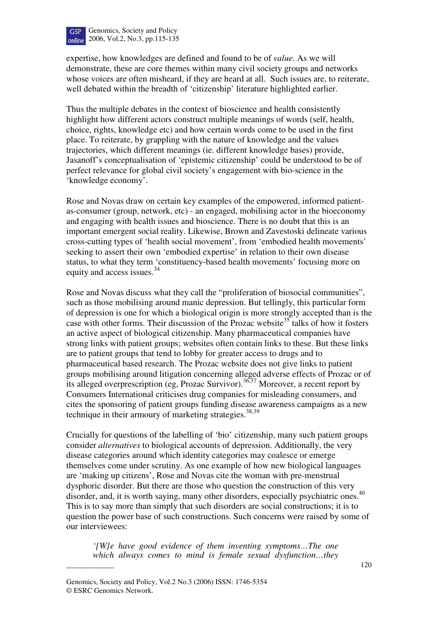

expertise, how knowledges are defined and found to be of value. As we will demonstrate, these are core themes within many civil society groups and networks whose voices are often misheard, if they are heard at all. Such issues are, to reiterate, well debated within the breadth of 'citizenship' literature highlighted earlier.

Thus the multiple debates in the context of bioscience and health consistently highlight how different actors construct multiple meanings of words (self, health, choice, rights, knowledge etc) and how certain words come to be used in the first place. To reiterate, by grappling with the nature of knowledge and the values trajectories, which different meanings (ie. different knowledge bases) provide, Jasanoff's conceptualisation of 'epistemic citizenship' could be understood to be of perfect relevance for global civil society's engagement with bio-science in the 'knowledge economy'.

Rose and Novas draw on certain key examples of the empowered, informed patientas-consumer (group, network, etc) - an engaged, mobilising actor in the bioeconomy and engaging with health issues and bioscience. There is no doubt that this is an important emergent social reality. Likewise, Brown and Zavestoski delineate various cross-cutting types of 'health social movement', from 'embodied health movements' seeking to assert their own 'embodied expertise' in relation to their own disease status, to what they term 'constituency-based health movements' focusing more on equity and access issues.<sup>34</sup>

Rose and Novas discuss what they call the "proliferation of biosocial communities", such as those mobilising around manic depression. But tellingly, this particular form of depression is one for which a biological origin is more strongly accepted than is the case with other forms. Their discussion of the Prozac website<sup>35</sup> talks of how it fosters an active aspect of biological citizenship. Many pharmaceutical companies have strong links with patient groups; websites often contain links to these. But these links are to patient groups that tend to lobby for greater access to drugs and to pharmaceutical based research. The Prozac website does not give links to patient groups mobilising around litigation concerning alleged adverse effects of Prozac or of its alleged overprescription (eg, Prozac Survivor).<sup>36,37</sup> Moreover, a recent report by Consumers International criticises drug companies for misleading consumers, and cites the sponsoring of patient groups funding disease awareness campaigns as a new technique in their armoury of marketing strategies. $38,39$ 

Crucially for questions of the labelling of 'bio' citizenship, many such patient groups consider alternatives to biological accounts of depression. Additionally, the very disease categories around which identity categories may coalesce or emerge themselves come under scrutiny. As one example of how new biological languages are 'making up citizens', Rose and Novas cite the woman with pre-menstrual dysphoric disorder. But there are those who question the construction of this very disorder, and, it is worth saying, many other disorders, especially psychiatric ones.<sup>40</sup> This is to say more than simply that such disorders are social constructions; it is to question the power base of such constructions. Such concerns were raised by some of our interviewees:

'[W]e have good evidence of them inventing symptoms…The one which always comes to mind is female sexual dysfunction...they

Genomics, Society and Policy, Vol.2 No.3 (2006) ISSN: 1746-5354 © ESRC Genomics Network.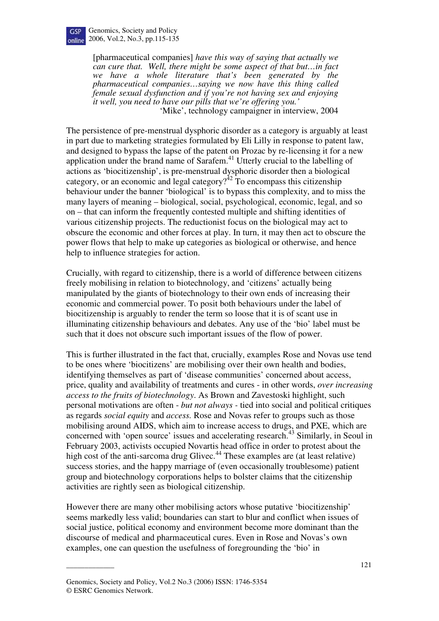

> [pharmaceutical companies] have this way of saying that actually we can cure that. Well, there might be some aspect of that but…in fact we have a whole literature that's been generated by the pharmaceutical companies…saying we now have this thing called female sexual dysfunction and if you're not having sex and enjoying it well, you need to have our pills that we're offering you.' 'Mike', technology campaigner in interview, 2004

The persistence of pre-menstrual dysphoric disorder as a category is arguably at least in part due to marketing strategies formulated by Eli Lilly in response to patent law, and designed to bypass the lapse of the patent on Prozac by re-licensing it for a new application under the brand name of Sarafem.<sup>41</sup> Utterly crucial to the labelling of actions as 'biocitizenship', is pre-menstrual dysphoric disorder then a biological category, or an economic and legal category?<sup> $42$ </sup> To encompass this citizenship behaviour under the banner 'biological' is to bypass this complexity, and to miss the many layers of meaning – biological, social, psychological, economic, legal, and so on – that can inform the frequently contested multiple and shifting identities of various citizenship projects. The reductionist focus on the biological may act to obscure the economic and other forces at play. In turn, it may then act to obscure the power flows that help to make up categories as biological or otherwise, and hence help to influence strategies for action.

Crucially, with regard to citizenship, there is a world of difference between citizens freely mobilising in relation to biotechnology, and 'citizens' actually being manipulated by the giants of biotechnology to their own ends of increasing their economic and commercial power. To posit both behaviours under the label of biocitizenship is arguably to render the term so loose that it is of scant use in illuminating citizenship behaviours and debates. Any use of the 'bio' label must be such that it does not obscure such important issues of the flow of power.

This is further illustrated in the fact that, crucially, examples Rose and Novas use tend to be ones where 'biocitizens' are mobilising over their own health and bodies, identifying themselves as part of 'disease communities' concerned about access, price, quality and availability of treatments and cures - in other words, over increasing access to the fruits of biotechnology. As Brown and Zavestoski highlight, such personal motivations are often - but not always - tied into social and political critiques as regards social equity and access. Rose and Novas refer to groups such as those mobilising around AIDS, which aim to increase access to drugs, and PXE, which are concerned with 'open source' issues and accelerating research.<sup>43</sup> Similarly, in Seoul in February 2003, activists occupied Novartis head office in order to protest about the high cost of the anti-sarcoma drug Glivec.<sup>44</sup> These examples are (at least relative) success stories, and the happy marriage of (even occasionally troublesome) patient group and biotechnology corporations helps to bolster claims that the citizenship activities are rightly seen as biological citizenship.

However there are many other mobilising actors whose putative 'biocitizenship' seems markedly less valid; boundaries can start to blur and conflict when issues of social justice, political economy and environment become more dominant than the discourse of medical and pharmaceutical cures. Even in Rose and Novas's own examples, one can question the usefulness of foregrounding the 'bio' in

Genomics, Society and Policy, Vol.2 No.3 (2006) ISSN: 1746-5354 © ESRC Genomics Network.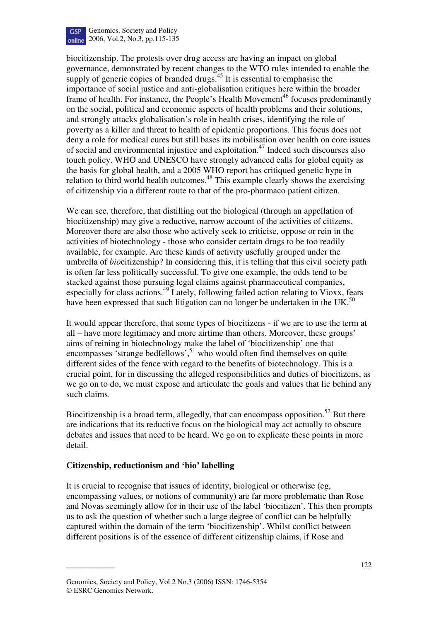

biocitizenship. The protests over drug access are having an impact on global governance, demonstrated by recent changes to the WTO rules intended to enable the supply of generic copies of branded drugs.<sup>45</sup> It is essential to emphasise the importance of social justice and anti-globalisation critiques here within the broader frame of health. For instance, the People's Health Movement<sup>46</sup> focuses predominantly on the social, political and economic aspects of health problems and their solutions, and strongly attacks globalisation's role in health crises, identifying the role of poverty as a killer and threat to health of epidemic proportions. This focus does not deny a role for medical cures but still bases its mobilisation over health on core issues of social and environmental injustice and exploitation.<sup>47</sup> Indeed such discourses also touch policy. WHO and UNESCO have strongly advanced calls for global equity as the basis for global health, and a 2005 WHO report has critiqued genetic hype in relation to third world health outcomes.<sup>48</sup> This example clearly shows the exercising of citizenship via a different route to that of the pro-pharmaco patient citizen.

We can see, therefore, that distilling out the biological (through an appellation of biocitizenship) may give a reductive, narrow account of the activities of citizens. Moreover there are also those who actively seek to criticise, oppose or rein in the activities of biotechnology - those who consider certain drugs to be too readily available, for example. Are these kinds of activity usefully grouped under the umbrella of biocitizenship? In considering this, it is telling that this civil society path is often far less politically successful. To give one example, the odds tend to be stacked against those pursuing legal claims against pharmaceutical companies, especially for class actions.<sup>49</sup> Lately, following failed action relating to Vioxx, fears have been expressed that such litigation can no longer be undertaken in the UK.<sup>50</sup>

It would appear therefore, that some types of biocitizens - if we are to use the term at all – have more legitimacy and more airtime than others. Moreover, these groups' aims of reining in biotechnology make the label of 'biocitizenship' one that encompasses 'strange bedfellows',<sup>51</sup> who would often find themselves on quite different sides of the fence with regard to the benefits of biotechnology. This is a crucial point, for in discussing the alleged responsibilities and duties of biocitizens, as we go on to do, we must expose and articulate the goals and values that lie behind any such claims.

Biocitizenship is a broad term, allegedly, that can encompass opposition.<sup>52</sup> But there are indications that its reductive focus on the biological may act actually to obscure debates and issues that need to be heard. We go on to explicate these points in more detail.

#### Citizenship, reductionism and 'bio' labelling

It is crucial to recognise that issues of identity, biological or otherwise (eg, encompassing values, or notions of community) are far more problematic than Rose and Novas seemingly allow for in their use of the label 'biocitizen'. This then prompts us to ask the question of whether such a large degree of conflict can be helpfully captured within the domain of the term 'biocitizenship'. Whilst conflict between different positions is of the essence of different citizenship claims, if Rose and

Genomics, Society and Policy, Vol.2 No.3 (2006) ISSN: 1746-5354 © ESRC Genomics Network.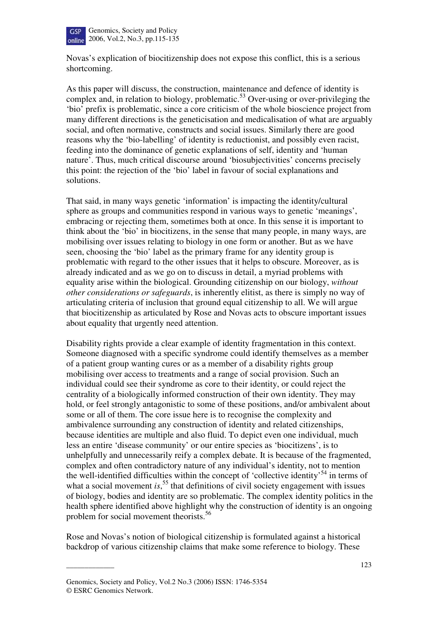

Novas's explication of biocitizenship does not expose this conflict, this is a serious shortcoming.

As this paper will discuss, the construction, maintenance and defence of identity is complex and, in relation to biology, problematic.<sup>53</sup> Over-using or over-privileging the 'bio' prefix is problematic, since a core criticism of the whole bioscience project from many different directions is the geneticisation and medicalisation of what are arguably social, and often normative, constructs and social issues. Similarly there are good reasons why the 'bio-labelling' of identity is reductionist, and possibly even racist, feeding into the dominance of genetic explanations of self, identity and 'human nature'. Thus, much critical discourse around 'biosubjectivities' concerns precisely this point: the rejection of the 'bio' label in favour of social explanations and solutions.

That said, in many ways genetic 'information' is impacting the identity/cultural sphere as groups and communities respond in various ways to genetic 'meanings', embracing or rejecting them, sometimes both at once. In this sense it is important to think about the 'bio' in biocitizens, in the sense that many people, in many ways, are mobilising over issues relating to biology in one form or another. But as we have seen, choosing the 'bio' label as the primary frame for any identity group is problematic with regard to the other issues that it helps to obscure. Moreover, as is already indicated and as we go on to discuss in detail, a myriad problems with equality arise within the biological. Grounding citizenship on our biology, without other considerations or safeguards, is inherently elitist, as there is simply no way of articulating criteria of inclusion that ground equal citizenship to all. We will argue that biocitizenship as articulated by Rose and Novas acts to obscure important issues about equality that urgently need attention.

Disability rights provide a clear example of identity fragmentation in this context. Someone diagnosed with a specific syndrome could identify themselves as a member of a patient group wanting cures or as a member of a disability rights group mobilising over access to treatments and a range of social provision. Such an individual could see their syndrome as core to their identity, or could reject the centrality of a biologically informed construction of their own identity. They may hold, or feel strongly antagonistic to some of these positions, and/or ambivalent about some or all of them. The core issue here is to recognise the complexity and ambivalence surrounding any construction of identity and related citizenships, because identities are multiple and also fluid. To depict even one individual, much less an entire 'disease community' or our entire species as 'biocitizens', is to unhelpfully and unnecessarily reify a complex debate. It is because of the fragmented, complex and often contradictory nature of any individual's identity, not to mention the well-identified difficulties within the concept of 'collective identity'<sup>54</sup> in terms of what a social movement is,<sup>55</sup> that definitions of civil society engagement with issues of biology, bodies and identity are so problematic. The complex identity politics in the health sphere identified above highlight why the construction of identity is an ongoing problem for social movement theorists.<sup>56</sup>

Rose and Novas's notion of biological citizenship is formulated against a historical backdrop of various citizenship claims that make some reference to biology. These

Genomics, Society and Policy, Vol.2 No.3 (2006) ISSN: 1746-5354 © ESRC Genomics Network.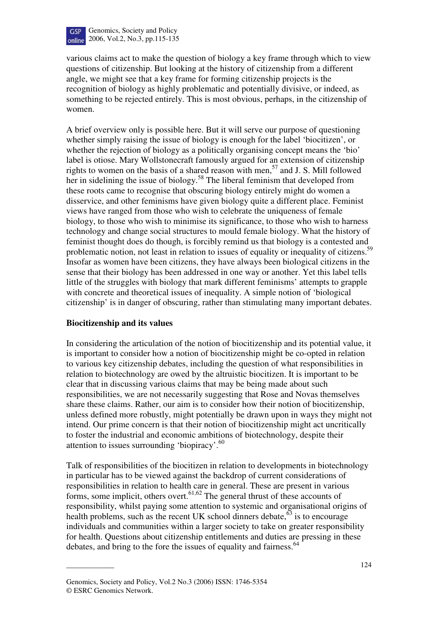

various claims act to make the question of biology a key frame through which to view questions of citizenship. But looking at the history of citizenship from a different angle, we might see that a key frame for forming citizenship projects is the recognition of biology as highly problematic and potentially divisive, or indeed, as something to be rejected entirely. This is most obvious, perhaps, in the citizenship of women.

A brief overview only is possible here. But it will serve our purpose of questioning whether simply raising the issue of biology is enough for the label 'biocitizen', or whether the rejection of biology as a politically organising concept means the 'bio' label is otiose. Mary Wollstonecraft famously argued for an extension of citizenship rights to women on the basis of a shared reason with men,<sup>57</sup> and J. S. Mill followed her in sidelining the issue of biology.<sup>58</sup> The liberal feminism that developed from these roots came to recognise that obscuring biology entirely might do women a disservice, and other feminisms have given biology quite a different place. Feminist views have ranged from those who wish to celebrate the uniqueness of female biology, to those who wish to minimise its significance, to those who wish to harness technology and change social structures to mould female biology. What the history of feminist thought does do though, is forcibly remind us that biology is a contested and problematic notion, not least in relation to issues of equality or inequality of citizens.<sup>59</sup> Insofar as women have been citizens, they have always been biological citizens in the sense that their biology has been addressed in one way or another. Yet this label tells little of the struggles with biology that mark different feminisms' attempts to grapple with concrete and theoretical issues of inequality. A simple notion of 'biological citizenship' is in danger of obscuring, rather than stimulating many important debates.

#### Biocitizenship and its values

In considering the articulation of the notion of biocitizenship and its potential value, it is important to consider how a notion of biocitizenship might be co-opted in relation to various key citizenship debates, including the question of what responsibilities in relation to biotechnology are owed by the altruistic biocitizen. It is important to be clear that in discussing various claims that may be being made about such responsibilities, we are not necessarily suggesting that Rose and Novas themselves share these claims. Rather, our aim is to consider how their notion of biocitizenship, unless defined more robustly, might potentially be drawn upon in ways they might not intend. Our prime concern is that their notion of biocitizenship might act uncritically to foster the industrial and economic ambitions of biotechnology, despite their attention to issues surrounding 'biopiracy'.<sup>60</sup>

Talk of responsibilities of the biocitizen in relation to developments in biotechnology in particular has to be viewed against the backdrop of current considerations of responsibilities in relation to health care in general. These are present in various forms, some implicit, others overt.<sup>61,62</sup> The general thrust of these accounts of responsibility, whilst paying some attention to systemic and organisational origins of health problems, such as the recent UK school dinners debate,  $63$  is to encourage individuals and communities within a larger society to take on greater responsibility for health. Questions about citizenship entitlements and duties are pressing in these debates, and bring to the fore the issues of equality and fairness.<sup>64</sup>

Genomics, Society and Policy, Vol.2 No.3 (2006) ISSN: 1746-5354 © ESRC Genomics Network.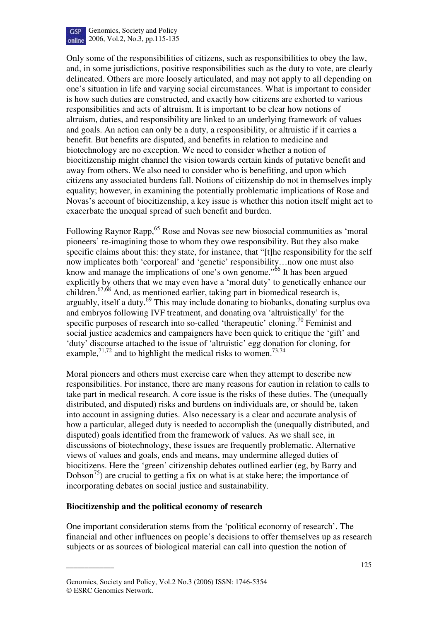

Only some of the responsibilities of citizens, such as responsibilities to obey the law, and, in some jurisdictions, positive responsibilities such as the duty to vote, are clearly delineated. Others are more loosely articulated, and may not apply to all depending on one's situation in life and varying social circumstances. What is important to consider is how such duties are constructed, and exactly how citizens are exhorted to various responsibilities and acts of altruism. It is important to be clear how notions of altruism, duties, and responsibility are linked to an underlying framework of values and goals. An action can only be a duty, a responsibility, or altruistic if it carries a benefit. But benefits are disputed, and benefits in relation to medicine and biotechnology are no exception. We need to consider whether a notion of biocitizenship might channel the vision towards certain kinds of putative benefit and away from others. We also need to consider who is benefiting, and upon which citizens any associated burdens fall. Notions of citizenship do not in themselves imply equality; however, in examining the potentially problematic implications of Rose and Novas's account of biocitizenship, a key issue is whether this notion itself might act to exacerbate the unequal spread of such benefit and burden.

Following Raynor Rapp,<sup>65</sup> Rose and Novas see new biosocial communities as 'moral pioneers' re-imagining those to whom they owe responsibility. But they also make specific claims about this: they state, for instance, that "[t]he responsibility for the self now implicates both 'corporeal' and 'genetic' responsibility…now one must also know and manage the implications of one's own genome."<sup>566</sup> It has been argued explicitly by others that we may even have a 'moral duty' to genetically enhance our children.<sup>67,68</sup> And, as mentioned earlier, taking part in biomedical research is, arguably, itself a duty.<sup>69</sup> This may include donating to biobanks, donating surplus ova and embryos following IVF treatment, and donating ova 'altruistically' for the specific purposes of research into so-called 'therapeutic' cloning.<sup>70</sup> Feminist and social justice academics and campaigners have been quick to critique the 'gift' and 'duty' discourse attached to the issue of 'altruistic' egg donation for cloning, for example,<sup>71,72</sup> and to highlight the medical risks to women.<sup>73,74</sup>

Moral pioneers and others must exercise care when they attempt to describe new responsibilities. For instance, there are many reasons for caution in relation to calls to take part in medical research. A core issue is the risks of these duties. The (unequally distributed, and disputed) risks and burdens on individuals are, or should be, taken into account in assigning duties. Also necessary is a clear and accurate analysis of how a particular, alleged duty is needed to accomplish the (unequally distributed, and disputed) goals identified from the framework of values. As we shall see, in discussions of biotechnology, these issues are frequently problematic. Alternative views of values and goals, ends and means, may undermine alleged duties of biocitizens. Here the 'green' citizenship debates outlined earlier (eg, by Barry and Dobson<sup>75</sup>) are crucial to getting a fix on what is at stake here; the importance of incorporating debates on social justice and sustainability.

# Biocitizenship and the political economy of research

One important consideration stems from the 'political economy of research'. The financial and other influences on people's decisions to offer themselves up as research subjects or as sources of biological material can call into question the notion of

Genomics, Society and Policy, Vol.2 No.3 (2006) ISSN: 1746-5354 © ESRC Genomics Network.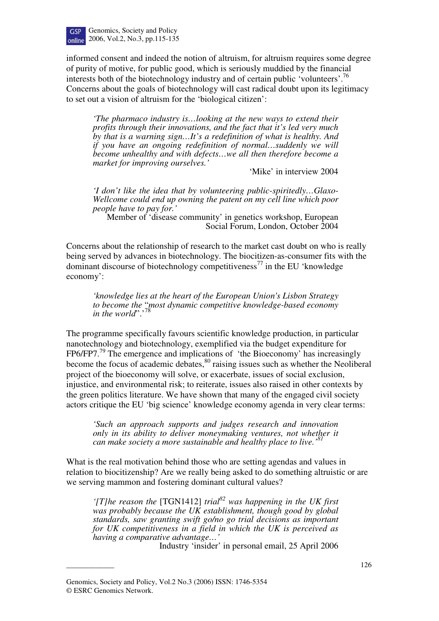

informed consent and indeed the notion of altruism, for altruism requires some degree of purity of motive, for public good, which is seriously muddied by the financial interests both of the biotechnology industry and of certain public 'volunteers'.<sup>76</sup> Concerns about the goals of biotechnology will cast radical doubt upon its legitimacy to set out a vision of altruism for the 'biological citizen':

'The pharmaco industry is…looking at the new ways to extend their profits through their innovations, and the fact that it's led very much by that is a warning sign…It's a redefinition of what is healthy. And if you have an ongoing redefinition of normal…suddenly we will become unhealthy and with defects…we all then therefore become a market for improving ourselves.'

'Mike' in interview 2004

'I don't like the idea that by volunteering public-spiritedly…Glaxo-Wellcome could end up owning the patent on my cell line which poor people have to pay for.'

Member of 'disease community' in genetics workshop, European Social Forum, London, October 2004

Concerns about the relationship of research to the market cast doubt on who is really being served by advances in biotechnology. The biocitizen-as-consumer fits with the dominant discourse of biotechnology competitiveness<sup>77</sup> in the EU 'knowledge' economy':

'knowledge lies at the heart of the European Union's Lisbon Strategy to become the "most dynamic competitive knowledge-based economy in the world".<sup>78</sup>

The programme specifically favours scientific knowledge production, in particular nanotechnology and biotechnology, exemplified via the budget expenditure for FP6/FP7.<sup>79</sup> The emergence and implications of 'the Bioeconomy' has increasingly become the focus of academic debates,<sup>80</sup> raising issues such as whether the Neoliberal project of the bioeconomy will solve, or exacerbate, issues of social exclusion, injustice, and environmental risk; to reiterate, issues also raised in other contexts by the green politics literature. We have shown that many of the engaged civil society actors critique the EU 'big science' knowledge economy agenda in very clear terms:

'Such an approach supports and judges research and innovation only in its ability to deliver moneymaking ventures, not whether it can make society a more sustainable and healthy place to live.<sup>'81</sup>

What is the real motivation behind those who are setting agendas and values in relation to biocitizenship? Are we really being asked to do something altruistic or are we serving mammon and fostering dominant cultural values?

'[T]he reason the  $[TGN1412]$  trial<sup>82</sup> was happening in the UK first was probably because the UK establishment, though good by global standards, saw granting swift go/no go trial decisions as important for UK competitiveness in a field in which the UK is perceived as having a comparative advantage...'

Industry 'insider' in personal email, 25 April 2006

Genomics, Society and Policy, Vol.2 No.3 (2006) ISSN: 1746-5354 © ESRC Genomics Network.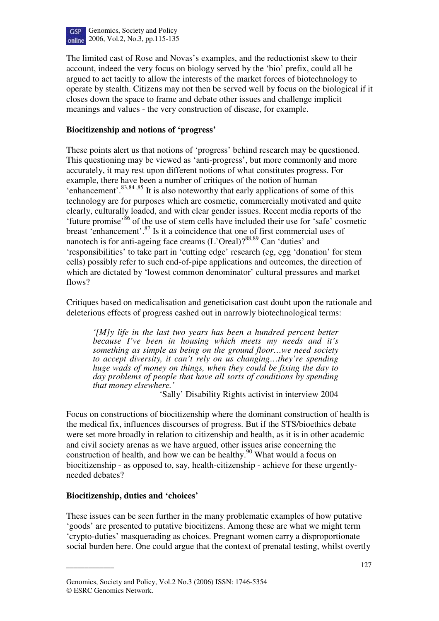

The limited cast of Rose and Novas's examples, and the reductionist skew to their account, indeed the very focus on biology served by the 'bio' prefix, could all be argued to act tacitly to allow the interests of the market forces of biotechnology to operate by stealth. Citizens may not then be served well by focus on the biological if it closes down the space to frame and debate other issues and challenge implicit meanings and values - the very construction of disease, for example.

## Biocitizenship and notions of 'progress'

These points alert us that notions of 'progress' behind research may be questioned. This questioning may be viewed as 'anti-progress', but more commonly and more accurately, it may rest upon different notions of what constitutes progress. For example, there have been a number of critiques of the notion of human 'enhancement'.<sup>83,84,85</sup> It is also noteworthy that early applications of some of this technology are for purposes which are cosmetic, commercially motivated and quite clearly, culturally loaded, and with clear gender issues. Recent media reports of the 'future promise'<sup>86</sup> of the use of stem cells have included their use for 'safe' cosmetic breast 'enhancement'.<sup>87</sup> Is it a coincidence that one of first commercial uses of nanotech is for anti-ageing face creams  $(L'Oreal)$ <sup>288,89</sup> Can 'duties' and 'responsibilities' to take part in 'cutting edge' research (eg, egg 'donation' for stem cells) possibly refer to such end-of-pipe applications and outcomes, the direction of which are dictated by 'lowest common denominator' cultural pressures and market flows?

Critiques based on medicalisation and geneticisation cast doubt upon the rationale and deleterious effects of progress cashed out in narrowly biotechnological terms:

'[M]y life in the last two years has been a hundred percent better because I've been in housing which meets my needs and it's something as simple as being on the ground floor…we need society to accept diversity, it can't rely on us changing…they're spending huge wads of money on things, when they could be fixing the day to day problems of people that have all sorts of conditions by spending that money elsewhere.'

'Sally' Disability Rights activist in interview 2004

Focus on constructions of biocitizenship where the dominant construction of health is the medical fix, influences discourses of progress. But if the STS/bioethics debate were set more broadly in relation to citizenship and health, as it is in other academic and civil society arenas as we have argued, other issues arise concerning the construction of health, and how we can be healthy.<sup>90</sup> What would a focus on biocitizenship - as opposed to, say, health-citizenship - achieve for these urgentlyneeded debates?

# Biocitizenship, duties and 'choices'

These issues can be seen further in the many problematic examples of how putative 'goods' are presented to putative biocitizens. Among these are what we might term 'crypto-duties' masquerading as choices. Pregnant women carry a disproportionate social burden here. One could argue that the context of prenatal testing, whilst overtly

Genomics, Society and Policy, Vol.2 No.3 (2006) ISSN: 1746-5354 © ESRC Genomics Network.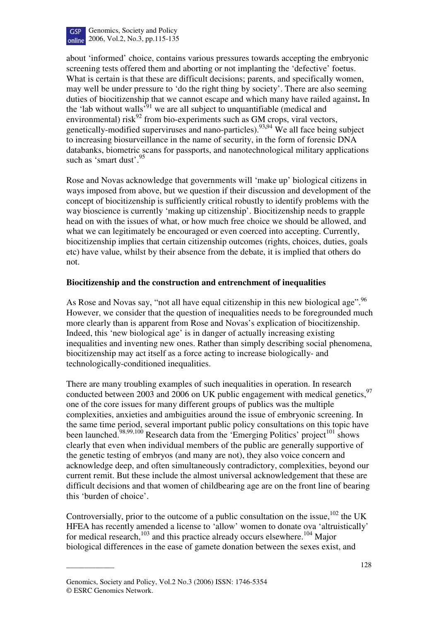

about 'informed' choice, contains various pressures towards accepting the embryonic screening tests offered them and aborting or not implanting the 'defective' foetus. What is certain is that these are difficult decisions; parents, and specifically women, may well be under pressure to 'do the right thing by society'. There are also seeming duties of biocitizenship that we cannot escape and which many have railed against. In the 'lab without walls'<sup>91</sup> we are all subject to unquantifiable (medical and environmental) risk $92$  from bio-experiments such as GM crops, viral vectors, genetically-modified superviruses and nano-particles).  $93,94$  We all face being subject to increasing biosurveillance in the name of security, in the form of forensic DNA databanks, biometric scans for passports, and nanotechnological military applications such as 'smart dust'.<sup>95</sup>

Rose and Novas acknowledge that governments will 'make up' biological citizens in ways imposed from above, but we question if their discussion and development of the concept of biocitizenship is sufficiently critical robustly to identify problems with the way bioscience is currently 'making up citizenship'. Biocitizenship needs to grapple head on with the issues of what, or how much free choice we should be allowed, and what we can legitimately be encouraged or even coerced into accepting. Currently, biocitizenship implies that certain citizenship outcomes (rights, choices, duties, goals etc) have value, whilst by their absence from the debate, it is implied that others do not.

## Biocitizenship and the construction and entrenchment of inequalities

As Rose and Novas say, "not all have equal citizenship in this new biological age".<sup>96</sup> However, we consider that the question of inequalities needs to be foregrounded much more clearly than is apparent from Rose and Novas's explication of biocitizenship. Indeed, this 'new biological age' is in danger of actually increasing existing inequalities and inventing new ones. Rather than simply describing social phenomena, biocitizenship may act itself as a force acting to increase biologically- and technologically-conditioned inequalities.

There are many troubling examples of such inequalities in operation. In research conducted between 2003 and 2006 on UK public engagement with medical genetics,  $97$ one of the core issues for many different groups of publics was the multiple complexities, anxieties and ambiguities around the issue of embryonic screening. In the same time period, several important public policy consultations on this topic have been launched.<sup>98,99,100</sup> Research data from the 'Emerging Politics' project<sup>101</sup> shows clearly that even when individual members of the public are generally supportive of the genetic testing of embryos (and many are not), they also voice concern and acknowledge deep, and often simultaneously contradictory, complexities, beyond our current remit. But these include the almost universal acknowledgement that these are difficult decisions and that women of childbearing age are on the front line of bearing this 'burden of choice'.

Controversially, prior to the outcome of a public consultation on the issue,  $^{102}$  the UK HFEA has recently amended a license to 'allow' women to donate ova 'altruistically' for medical research, $103$  and this practice already occurs elsewhere.<sup>104</sup> Major biological differences in the ease of gamete donation between the sexes exist, and

Genomics, Society and Policy, Vol.2 No.3 (2006) ISSN: 1746-5354 © ESRC Genomics Network.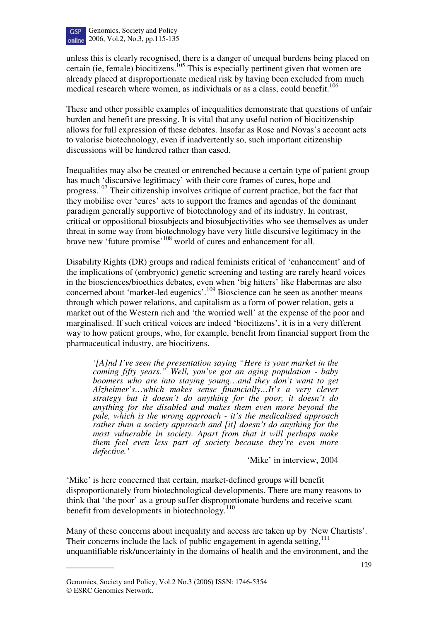

unless this is clearly recognised, there is a danger of unequal burdens being placed on certain (ie, female) biocitizens.<sup>105</sup> This is especially pertinent given that women are already placed at disproportionate medical risk by having been excluded from much medical research where women, as individuals or as a class, could benefit.<sup>106</sup>

These and other possible examples of inequalities demonstrate that questions of unfair burden and benefit are pressing. It is vital that any useful notion of biocitizenship allows for full expression of these debates. Insofar as Rose and Novas's account acts to valorise biotechnology, even if inadvertently so, such important citizenship discussions will be hindered rather than eased.

Inequalities may also be created or entrenched because a certain type of patient group has much 'discursive legitimacy' with their core frames of cures, hope and progress.<sup>107</sup> Their citizenship involves critique of current practice, but the fact that they mobilise over 'cures' acts to support the frames and agendas of the dominant paradigm generally supportive of biotechnology and of its industry. In contrast, critical or oppositional biosubjects and biosubjectivities who see themselves as under threat in some way from biotechnology have very little discursive legitimacy in the brave new 'future promise'<sup>108</sup> world of cures and enhancement for all.

Disability Rights (DR) groups and radical feminists critical of 'enhancement' and of the implications of (embryonic) genetic screening and testing are rarely heard voices in the biosciences/bioethics debates, even when 'big hitters' like Habermas are also concerned about 'market-led eugenics'.<sup>109</sup> Bioscience can be seen as another means through which power relations, and capitalism as a form of power relation, gets a market out of the Western rich and 'the worried well' at the expense of the poor and marginalised. If such critical voices are indeed 'biocitizens', it is in a very different way to how patient groups, who, for example, benefit from financial support from the pharmaceutical industry, are biocitizens.

'[A]nd I've seen the presentation saying "Here is your market in the coming fifty years." Well, you've got an aging population - baby boomers who are into staying young…and they don't want to get Alzheimer's…which makes sense financially…It's a very clever strategy but it doesn't do anything for the poor, it doesn't do anything for the disabled and makes them even more beyond the pale, which is the wrong approach - it's the medicalised approach rather than a society approach and [it] doesn't do anything for the most vulnerable in society. Apart from that it will perhaps make them feel even less part of society because they're even more defective.'

'Mike' in interview, 2004

'Mike' is here concerned that certain, market-defined groups will benefit disproportionately from biotechnological developments. There are many reasons to think that 'the poor' as a group suffer disproportionate burdens and receive scant benefit from developments in biotechnology.<sup>110</sup>

Many of these concerns about inequality and access are taken up by 'New Chartists'. Their concerns include the lack of public engagement in agenda setting, $111$ unquantifiable risk/uncertainty in the domains of health and the environment, and the

Genomics, Society and Policy, Vol.2 No.3 (2006) ISSN: 1746-5354 © ESRC Genomics Network.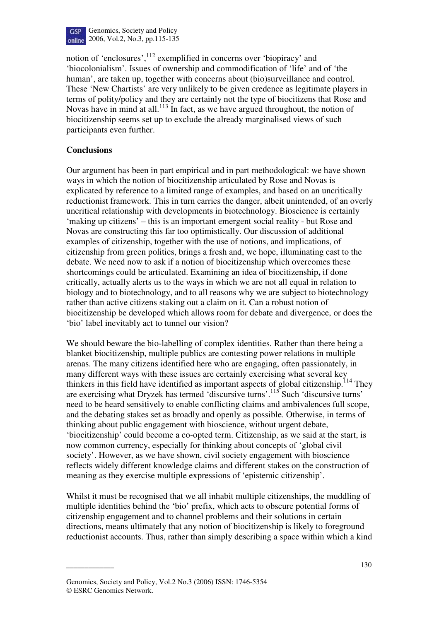

notion of 'enclosures',<sup>112</sup> exemplified in concerns over 'biopiracy' and 'biocolonialism'. Issues of ownership and commodification of 'life' and of 'the human', are taken up, together with concerns about (bio)surveillance and control. These 'New Chartists' are very unlikely to be given credence as legitimate players in terms of polity/policy and they are certainly not the type of biocitizens that Rose and Novas have in mind at all.<sup>113</sup> In fact, as we have argued throughout, the notion of biocitizenship seems set up to exclude the already marginalised views of such participants even further.

## **Conclusions**

Our argument has been in part empirical and in part methodological: we have shown ways in which the notion of biocitizenship articulated by Rose and Novas is explicated by reference to a limited range of examples, and based on an uncritically reductionist framework. This in turn carries the danger, albeit unintended, of an overly uncritical relationship with developments in biotechnology. Bioscience is certainly 'making up citizens' – this is an important emergent social reality - but Rose and Novas are constructing this far too optimistically. Our discussion of additional examples of citizenship, together with the use of notions, and implications, of citizenship from green politics, brings a fresh and, we hope, illuminating cast to the debate. We need now to ask if a notion of biocitizenship which overcomes these shortcomings could be articulated. Examining an idea of biocitizenship, if done critically, actually alerts us to the ways in which we are not all equal in relation to biology and to biotechnology, and to all reasons why we are subject to biotechnology rather than active citizens staking out a claim on it. Can a robust notion of biocitizenship be developed which allows room for debate and divergence, or does the 'bio' label inevitably act to tunnel our vision?

We should beware the bio-labelling of complex identities. Rather than there being a blanket biocitizenship, multiple publics are contesting power relations in multiple arenas. The many citizens identified here who are engaging, often passionately, in many different ways with these issues are certainly exercising what several key thinkers in this field have identified as important aspects of global citizenship.<sup>114</sup> They are exercising what Dryzek has termed 'discursive turns'.<sup>115</sup> Such 'discursive turns' need to be heard sensitively to enable conflicting claims and ambivalences full scope, and the debating stakes set as broadly and openly as possible. Otherwise, in terms of thinking about public engagement with bioscience, without urgent debate, 'biocitizenship' could become a co-opted term. Citizenship, as we said at the start, is now common currency, especially for thinking about concepts of 'global civil society'. However, as we have shown, civil society engagement with bioscience reflects widely different knowledge claims and different stakes on the construction of meaning as they exercise multiple expressions of 'epistemic citizenship'.

Whilst it must be recognised that we all inhabit multiple citizenships, the muddling of multiple identities behind the 'bio' prefix, which acts to obscure potential forms of citizenship engagement and to channel problems and their solutions in certain directions, means ultimately that any notion of biocitizenship is likely to foreground reductionist accounts. Thus, rather than simply describing a space within which a kind

Genomics, Society and Policy, Vol.2 No.3 (2006) ISSN: 1746-5354 © ESRC Genomics Network.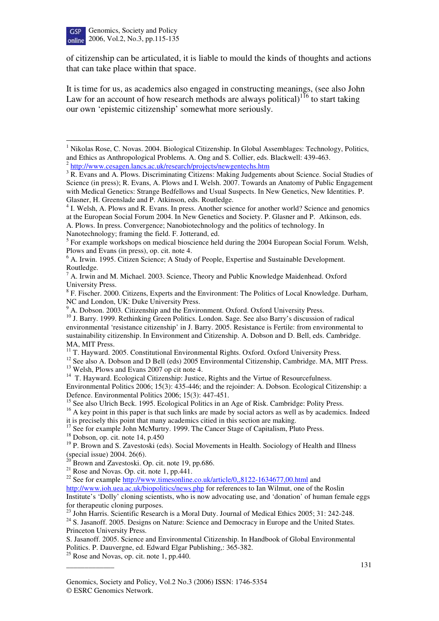

of citizenship can be articulated, it is liable to mould the kinds of thoughts and actions that can take place within that space.

It is time for us, as academics also engaged in constructing meanings, (see also John Law for an account of how research methods are always political)<sup>116</sup> to start taking our own 'epistemic citizenship' somewhat more seriously.

A. Plows. In press. Convergence; Nanobiotechnology and the politics of technology. In Nanotechnology; framing the field. F. Jotterand, ed.

<sup>11</sup> T. Hayward. 2005. Constitutional Environmental Rights. Oxford. Oxford University Press.

<sup>14</sup> T. Hayward. Ecological Citizenship: Justice, Rights and the Virtue of Resourcefulness.

<sup>16</sup> A key point in this paper is that such links are made by social actors as well as by academics. Indeed it is precisely this point that many academics citied in this section are making.

<sup>17</sup> See for example John McMurtry. 1999. The Cancer Stage of Capitalism, Pluto Press.

<sup>18</sup> Dobson, op. cit. note 14, p.450

 $21$  Rose and Novas. Op. cit. note 1, pp.441.

<sup>22</sup> See for example http://www.timesonline.co.uk/article/0,,8122-1634677,00.html and

http://www.ioh.uea.ac.uk/biopolitics/news.php for references to Ian Wilmut, one of the Roslin Institute's 'Dolly' cloning scientists, who is now advocating use, and 'donation' of human female eggs for therapeutic cloning purposes.

<sup>23</sup> John Harris. Scientific Research is a Moral Duty. Journal of Medical Ethics 2005; 31: 242-248.

 $25$  Rose and Novas, op. cit. note 1, pp. 440.

<sup>&</sup>lt;sup>1</sup> Nikolas Rose, C. Novas. 2004. Biological Citizenship. In Global Assemblages: Technology, Politics, and Ethics as Anthropological Problems. A. Ong and S. Collier, eds. Blackwell: 439-463.

<sup>&</sup>lt;sup>2</sup> http://www.cesagen.lancs.ac.uk/research/projects/newgentechs.htm

<sup>&</sup>lt;sup>3</sup> R. Evans and A. Plows. Discriminating Citizens: Making Judgements about Science. Social Studies of Science (in press); R. Evans, A. Plows and I. Welsh. 2007. Towards an Anatomy of Public Engagement with Medical Genetics: Strange Bedfellows and Usual Suspects. In New Genetics, New Identities. P. Glasner, H. Greenslade and P. Atkinson, eds. Routledge.

<sup>&</sup>lt;sup>4</sup> I. Welsh, A. Plows and R. Evans. In press. Another science for another world? Science and genomics at the European Social Forum 2004. In New Genetics and Society. P. Glasner and P. Atkinson, eds.

<sup>&</sup>lt;sup>5</sup> For example workshops on medical bioscience held during the 2004 European Social Forum. Welsh, Plows and Evans (in press), op. cit. note 4.

<sup>&</sup>lt;sup>6</sup> A. Irwin. 1995. Citizen Science; A Study of People, Expertise and Sustainable Development. Routledge.

<sup>&</sup>lt;sup>7</sup> A. Irwin and M. Michael. 2003. Science, Theory and Public Knowledge Maidenhead. Oxford University Press.

<sup>&</sup>lt;sup>8</sup> F. Fischer. 2000. Citizens, Experts and the Environment: The Politics of Local Knowledge. Durham, NC and London, UK: Duke University Press.

<sup>&</sup>lt;sup>9</sup> A. Dobson. 2003. Citizenship and the Environment. Oxford. Oxford University Press.

<sup>&</sup>lt;sup>10</sup> J. Barry. 1999. Rethinking Green Politics. London. Sage. See also Barry's discussion of radical environmental 'resistance citizenship' in J. Barry. 2005. Resistance is Fertile: from environmental to sustainability citizenship. In Environment and Citizenship. A. Dobson and D. Bell, eds. Cambridge. MA, MIT Press.

<sup>&</sup>lt;sup>12</sup> See also A. Dobson and D Bell (eds) 2005 Environmental Citizenship, Cambridge. MA, MIT Press. <sup>13</sup> Welsh, Plows and Evans 2007 op cit note 4.

Environmental Politics 2006; 15(3): 435-446; and the rejoinder: A. Dobson. Ecological Citizenship: a Defence. Environmental Politics 2006; 15(3): 447-451.

<sup>&</sup>lt;sup>15</sup> See also Ulrich Beck. 1995. Ecological Politics in an Age of Risk. Cambridge: Polity Press.

<sup>&</sup>lt;sup>19</sup> P. Brown and S. Zavestoski (eds). Social Movements in Health. Sociology of Health and Illness (special issue) 2004. 26(6).

Brown and Zavestoski. Op. cit. note 19, pp.686.

<sup>&</sup>lt;sup>24</sup> S. Jasanoff. 2005. Designs on Nature: Science and Democracy in Europe and the United States. Princeton University Press.

S. Jasanoff. 2005. Science and Environmental Citizenship. In Handbook of Global Environmental Politics. P. Dauvergne, ed. Edward Elgar Publishing,: 365-382.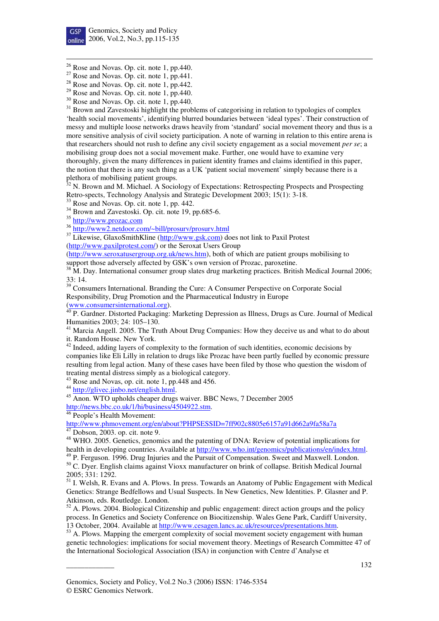

- <sup>26</sup> Rose and Novas. Op. cit. note 1, pp.440.
- $27$  Rose and Novas. Op. cit. note 1, pp. 441.
- $28$  Rose and Novas. Op. cit. note 1, pp. 442.
- $29$  Rose and Novas. Op. cit. note 1, pp. 440.
- $30$  Rose and Novas. Op. cit. note 1, pp. 440.

 $31$  Brown and Zavestoski highlight the problems of categorising in relation to typologies of complex 'health social movements', identifying blurred boundaries between 'ideal types'. Their construction of messy and multiple loose networks draws heavily from 'standard' social movement theory and thus is a more sensitive analysis of civil society participation. A note of warning in relation to this entire arena is that researchers should not rush to define any civil society engagement as a social movement *per se*; a mobilising group does not a social movement make. Further, one would have to examine very thoroughly, given the many differences in patient identity frames and claims identified in this paper, the notion that there is any such thing as a UK 'patient social movement' simply because there is a plethora of mobilising patient groups.

 $32$  N. Brown and M. Michael. A Sociology of Expectations: Retrospecting Prospects and Prospecting Retro-spects, Technology Analysis and Strategic Development 2003; 15(1): 3-18.

 $33$  Rose and Novas. Op. cit. note 1, pp. 442.

<sup>34</sup> Brown and Zavestoski. Op. cit. note 19, pp.685-6.

<sup>35</sup> http://www.prozac.com

<sup>36</sup> http://www2.netdoor.com/~bill/prosurv/prosurv.html

<sup>37</sup> Likewise, GlaxoSmithKline (http://www.gsk.com) does not link to Paxil Protest (http://www.paxilprotest.com/) or the Seroxat Users Group

(http://www.seroxatusergroup.org.uk/news.htm), both of which are patient groups mobilising to support those adversely affected by GSK's own version of Prozac, paroxetine.

<sup>38</sup> M. Day. International consumer group slates drug marketing practices. British Medical Journal 2006; 33: 14.

<sup>39</sup> Consumers International. Branding the Cure: A Consumer Perspective on Corporate Social Responsibility, Drug Promotion and the Pharmaceutical Industry in Europe (www.consumersinternational.org).

<sup>40</sup> P. Gardner. Distorted Packaging: Marketing Depression as Illness, Drugs as Cure. Journal of Medical Humanities 2003; 24: 105–130.

<sup>41</sup> Marcia Angell. 2005. The Truth About Drug Companies: How they deceive us and what to do about it. Random House. New York.

 $42$  Indeed, adding layers of complexity to the formation of such identities, economic decisions by companies like Eli Lilly in relation to drugs like Prozac have been partly fuelled by economic pressure resulting from legal action. Many of these cases have been filed by those who question the wisdom of treating mental distress simply as a biological category.

 $^{3}$  Rose and Novas, op. cit. note 1, pp.448 and 456.

<sup>44</sup> http://glivec.jinbo.net/english.html.

<sup>45</sup> Anon. WTO upholds cheaper drugs waiver. BBC News, 7 December 2005 http://news.bbc.co.uk/1/hi/business/4504922.stm.

<sup>46</sup> People's Health Movement:

http://www.phmovement.org/en/about?PHPSESSID=7ff902c8805e6157a91d662a9fa58a7a

 $\frac{1}{2}$  Dobson, 2003. op. cit. note 9.

48 WHO. 2005. Genetics, genomics and the patenting of DNA: Review of potential implications for health in developing countries. Available at http://www.who.int/genomics/publications/en/index.html.

<sup>49</sup> P. Ferguson. 1996. Drug Injuries and the Pursuit of Compensation. Sweet and Maxwell. London. <sup>50</sup> C. Dyer. English claims against Vioxx manufacturer on brink of collapse. British Medical Journal 2005; 331: 1292.

<sup>51</sup> I. Welsh, R. Evans and A. Plows. In press. Towards an Anatomy of Public Engagement with Medical Genetics: Strange Bedfellows and Usual Suspects. In New Genetics, New Identities. P. Glasner and P. Atkinson, eds. Routledge. London.

 $52$  A. Plows. 2004. Biological Citizenship and public engagement: direct action groups and the policy process. In Genetics and Society Conference on Biocitizenship. Wales Gene Park, Cardiff University, 13 October, 2004. Available at http://www.cesagen.lancs.ac.uk/resources/presentations.htm.

 $53$  A. Plows. Mapping the emergent complexity of social movement society engagement with human  $53$ genetic technologies: implications for social movement theory. Meetings of Research Committee 47 of the International Sociological Association (ISA) in conjunction with Centre d'Analyse et

Genomics, Society and Policy, Vol.2 No.3 (2006) ISSN: 1746-5354 © ESRC Genomics Network.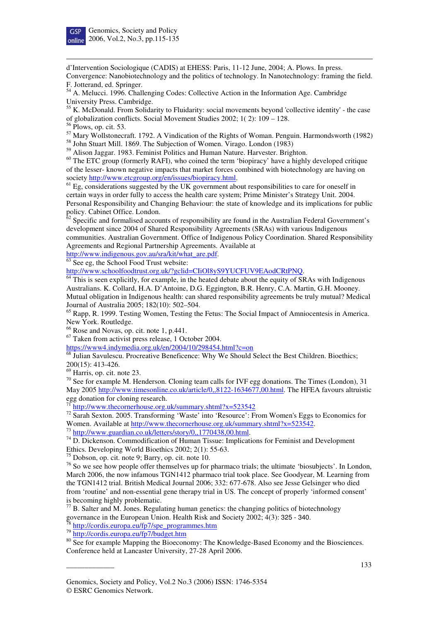

d'Intervention Sociologique (CADIS) at EHESS: Paris, 11-12 June, 2004; A. Plows. In press.

Convergence: Nanobiotechnology and the politics of technology. In Nanotechnology: framing the field. F. Jotterand, ed. Springer.

<sup>54</sup> A. Melucci. 1996. Challenging Codes: Collective Action in the Information Age. Cambridge University Press. Cambridge.

<sup>55</sup> K. McDonald. From Solidarity to Fluidarity: social movements beyond 'collective identity' - the case of globalization conflicts. Social Movement Studies 2002; 1( 2): 109 – 128.  $56$  Plows, op. cit. 53.

<sup>57</sup> Mary Wollstonecraft. 1792. A Vindication of the Rights of Woman. Penguin. Harmondsworth (1982) <sup>58</sup> John Stuart Mill. 1869. The Subjection of Women. Virago. London (1983)

<sup>59</sup> Alison Jaggar. 1983. Feminist Politics and Human Nature. Harvester. Brighton.

 $60$  The ETC group (formerly RAFI), who coined the term 'biopiracy' have a highly developed critique of the lesser- known negative impacts that market forces combined with biotechnology are having on society http://www.etcgroup.org/en/issues/biopiracy.html.

<sup>61</sup> Eg, considerations suggested by the UK government about responsibilities to care for oneself in certain ways in order fully to access the health care system; Prime Minister's Strategy Unit. 2004. Personal Responsibility and Changing Behaviour: the state of knowledge and its implications for public policy. Cabinet Office. London.

 $\overline{62}$  Specific and formalised accounts of responsibility are found in the Australian Federal Government's development since 2004 of Shared Responsibility Agreements (SRAs) with various Indigenous communities. Australian Government. Office of Indigenous Policy Coordination. Shared Responsibility Agreements and Regional Partnership Agreements. Available at

http://www.indigenous.gov.au/sra/kit/what\_are.pdf.

See eg, the School Food Trust website:

http://www.schoolfoodtrust.org.uk/?gclid=CIiOl8yS9YUCFUV9EAodCRtPNO.

This is seen explicitly, for example, in the heated debate about the equity of SRAs with Indigenous Australians. K. Collard, H.A. D'Antoine, D.G. Eggington, B.R. Henry, C.A. Martin, G.H. Mooney. Mutual obligation in Indigenous health: can shared responsibility agreements be truly mutual? Medical Journal of Australia 2005; 182(10): 502–504.

<sup>65</sup> Rapp, R. 1999. Testing Women, Testing the Fetus: The Social Impact of Amniocentesis in America. New York. Routledge.

 $66$  Rose and Novas, op. cit. note 1, p.441.

 $67$  Taken from activist press release, 1 October 2004.

https://www4.indymedia.org.uk/en/2004/10/298454.html?c=on

<sup>68</sup> Julian Savulescu. Procreative Beneficence: Why We Should Select the Best Children. Bioethics; 200(15): 413-426.

<sup>69</sup> Harris, op. cit. note 23.

 $\frac{70}{10}$  See for example M. Henderson. Cloning team calls for IVF egg donations. The Times (London), 31 May 2005 http://www.timesonline.co.uk/article/0,,8122-1634677,00.html. The HFEA favours altruistic egg donation for cloning research.

http://www.thecornerhouse.org.uk/summary.shtml?x=523542

<sup>72</sup> Sarah Sexton. 2005. Transforming 'Waste' into 'Resource': From Women's Eggs to Economics for Women. Available at http://www.thecornerhouse.org.uk/summary.shtml?x=523542.  $^{73}$  http://www.guardian.co.uk/letters/story/0,.1770438.00.html.

<sup>74</sup> D. Dickenson. Commodification of Human Tissue: Implications for Feminist and Development Ethics. Developing World Bioethics 2002; 2(1): 55-63.

<sup>75</sup> Dobson, op. cit. note 9; Barry, op. cit. note 10.

<sup>76</sup> So we see how people offer themselves up for pharmaco trials; the ultimate 'biosubjects'. In London, March 2006, the now infamous TGN1412 pharmaco trial took place. See Goodyear, M. Learning from the TGN1412 trial. British Medical Journal 2006; 332: 677-678. Also see Jesse Gelsinger who died from 'routine' and non-essential gene therapy trial in US. The concept of properly 'informed consent' is becoming highly problematic.

 $77$  B. Salter and M. Jones. Regulating human genetics: the changing politics of biotechnology governance in the European Union. Health Risk and Society 2002; 4(3): 325 - 340. http://cordis.europa.eu/fp7/spe\_programmes.htm

<sup>79</sup> http://cordis.europa.eu/fp7/budget.htm

80 See for example Mapping the Bioeconomy: The Knowledge-Based Economy and the Biosciences. Conference held at Lancaster University, 27-28 April 2006.

Genomics, Society and Policy, Vol.2 No.3 (2006) ISSN: 1746-5354 © ESRC Genomics Network.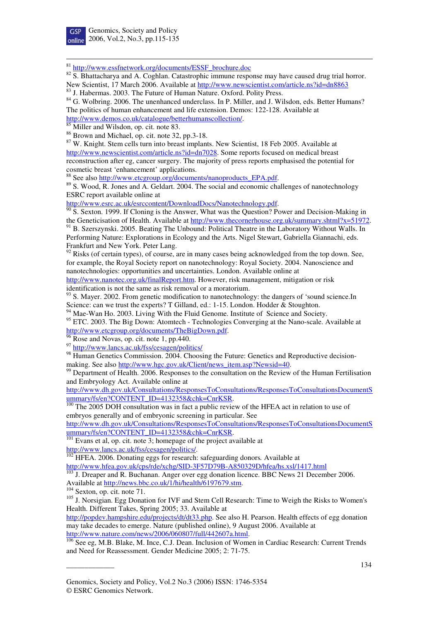

<sup>81</sup> http://www.essfnetwork.org/documents/ESSF\_brochure.doc

<sup>82</sup> S. Bhattacharya and A. Coghlan. Catastrophic immune response may have caused drug trial horror. New Scientist, 17 March 2006. Available at http://www.newscientist.com/article.ns?id=dn8863

<sup>83</sup> J. Habermas. 2003. The Future of Human Nature. Oxford. Polity Press.

<sup>84</sup> G. Wolbring. 2006. The unenhanced underclass. In P. Miller, and J. Wilsdon, eds. Better Humans? The politics of human enhancement and life extension. Demos: 122-128. Available at http://www.demos.co.uk/catalogue/betterhumanscollection/.

Miller and Wilsdon, op. cit. note 83.

 $86$  Brown and Michael, op. cit. note 32, pp.3-18.

<sup>87</sup> W. Knight. Stem cells turn into breast implants. New Scientist, 18 Feb 2005. Available at http://www.newscientist.com/article.ns?id=dn7028. Some reports focused on medical breast reconstruction after eg, cancer surgery. The majority of press reports emphasised the potential for cosmetic breast 'enhancement' applications.

88 See also http://www.etcgroup.org/documents/nanoproducts\_EPA.pdf.

89 S. Wood, R. Jones and A. Geldart. 2004. The social and economic challenges of nanotechnology ESRC report available online at

http://www.esrc.ac.uk/esrccontent/DownloadDocs/Nanotechnology.pdf.

 $90\text{ S}$ . Sexton. 1999. If Cloning is the Answer, What was the Question? Power and Decision-Making in the Geneticisation of Health. Available at http://www.thecornerhouse.org.uk/summary.shtml?x=51972.

<sup>91</sup> B. Szerszynski. 2005. Beating The Unbound: Political Theatre in the Laboratory Without Walls. In Performing Nature: Explorations in Ecology and the Arts. Nigel Stewart, Gabriella Giannachi, eds. Frankfurt and New York. Peter Lang.

 $92$  Risks (of certain types), of course, are in many cases being acknowledged from the top down. See, for example, the Royal Society report on nanotechnology: Royal Society. 2004. Nanoscience and nanotechnologies: opportunities and uncertainties. London. Available online at

http://www.nanotec.org.uk/finalReport.htm. However, risk management, mitigation or risk identification is not the same as risk removal or a moratorium.

 $93$  S. Mayer. 2002. From genetic modification to nanotechnology: the dangers of 'sound science. In Science: can we trust the experts? T Gilland, ed.: 1-15. London. Hodder & Stoughton.

<sup>94</sup> Mae-Wan Ho. 2003. Living With the Fluid Genome. Institute of Science and Society.

<sup>95</sup> ETC. 2003. The Big Down: Atomtech - Technologies Converging at the Nano-scale. Available at http://www.etcgroup.org/documents/TheBigDown.pdf.

Rose and Novas, op. cit. note 1, pp.440.

97 http://www.lancs<u>.ac.uk/fss/cesagen/politics/</u>

98 Human Genetics Commission. 2004. Choosing the Future: Genetics and Reproductive decisionmaking. See also http://www.hgc.gov.uk/Client/news\_item.asp?Newsid=40.

<sup>99</sup> Department of Health. 2006. Responses to the consultation on the Review of the Human Fertilisation and Embryology Act. Available online at

http://www.dh.gov.uk/Consultations/ResponsesToConsultations/ResponsesToConsultationsDocumentS ummary/fs/en?CONTENT\_ID=4132358&chk=CnrKSR.

 $100$  The 2005 DOH consultation was in fact a public review of the HFEA act in relation to use of embryos generally and of embryonic screening in particular. See

http://www.dh.gov.uk/Consultations/ResponsesToConsultations/ResponsesToConsultationsDocumentS ummary/fs/en?CONTENT\_ID=4132358&chk=CnrKSR.

<sup>101</sup> Evans et al, op. cit. note 3; homepage of the project available at http://www.lancs.ac.uk/fss/cesagen/politics/.

<sup>102</sup> HFEA. 2006. Donating eggs for research: safeguarding donors. Available at http://www.hfea.gov.uk/cps/rde/xchg/SID-3F57D79B-A850329D/hfea/hs.xsl/1417.html

<sup>103</sup> J. Dreaper and R. Buchanan. Anger over egg donation licence. BBC News 21 December 2006. Available at http://news.bbc.co.uk/1/hi/health/6197679.stm.

<sup>104</sup> Sexton, op. cit. note 71.

<sup>105</sup> J. Norsigian. Egg Donation for IVF and Stem Cell Research: Time to Weigh the Risks to Women's Health. Different Takes, Spring 2005; 33. Available at

http://popdev.hampshire.edu/projects/dt/dt33.php. See also H. Pearson. Health effects of egg donation may take decades to emerge. Nature (published online), 9 August 2006. Available at http://www.nature.com/news/2006/060807/full/442607a.html.

<sup>106</sup> See eg, M.B. Blake, M. Ince, C.J. Dean. Inclusion of Women in Cardiac Research: Current Trends and Need for Reassessment. Gender Medicine 2005; 2: 71-75.

Genomics, Society and Policy, Vol.2 No.3 (2006) ISSN: 1746-5354 © ESRC Genomics Network.